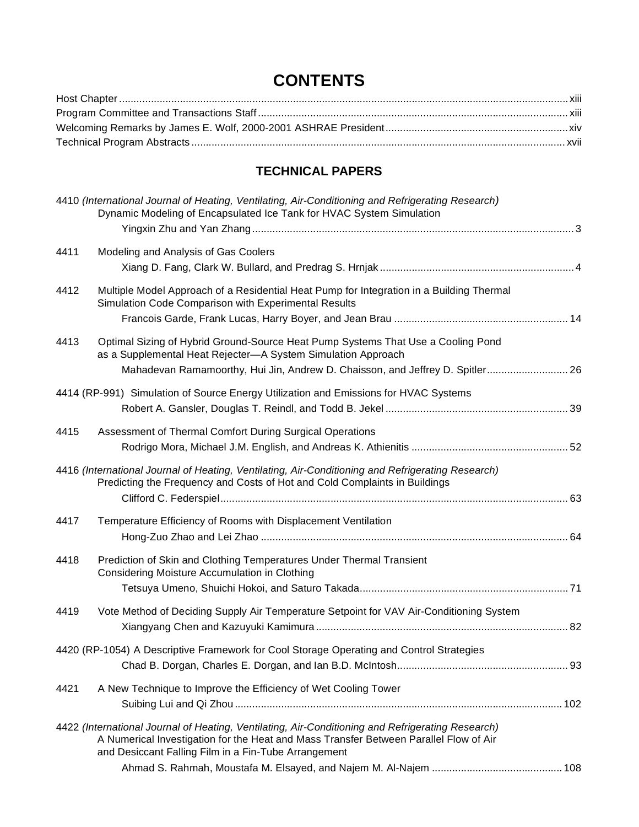## **CONTENTS**

## **TECHNICAL PAPERS**

|      | 4410 (International Journal of Heating, Ventilating, Air-Conditioning and Refrigerating Research)<br>Dynamic Modeling of Encapsulated Ice Tank for HVAC System Simulation                                                                          |  |
|------|----------------------------------------------------------------------------------------------------------------------------------------------------------------------------------------------------------------------------------------------------|--|
|      |                                                                                                                                                                                                                                                    |  |
| 4411 | Modeling and Analysis of Gas Coolers                                                                                                                                                                                                               |  |
| 4412 | Multiple Model Approach of a Residential Heat Pump for Integration in a Building Thermal<br>Simulation Code Comparison with Experimental Results                                                                                                   |  |
| 4413 | Optimal Sizing of Hybrid Ground-Source Heat Pump Systems That Use a Cooling Pond<br>as a Supplemental Heat Rejecter-A System Simulation Approach<br>Mahadevan Ramamoorthy, Hui Jin, Andrew D. Chaisson, and Jeffrey D. Spitler 26                  |  |
|      | 4414 (RP-991) Simulation of Source Energy Utilization and Emissions for HVAC Systems                                                                                                                                                               |  |
| 4415 | Assessment of Thermal Comfort During Surgical Operations                                                                                                                                                                                           |  |
|      | 4416 (International Journal of Heating, Ventilating, Air-Conditioning and Refrigerating Research)<br>Predicting the Frequency and Costs of Hot and Cold Complaints in Buildings                                                                    |  |
| 4417 | Temperature Efficiency of Rooms with Displacement Ventilation                                                                                                                                                                                      |  |
| 4418 | Prediction of Skin and Clothing Temperatures Under Thermal Transient<br>Considering Moisture Accumulation in Clothing                                                                                                                              |  |
| 4419 | Vote Method of Deciding Supply Air Temperature Setpoint for VAV Air-Conditioning System                                                                                                                                                            |  |
|      | 4420 (RP-1054) A Descriptive Framework for Cool Storage Operating and Control Strategies                                                                                                                                                           |  |
| 4421 | A New Technique to Improve the Efficiency of Wet Cooling Tower                                                                                                                                                                                     |  |
|      | 4422 (International Journal of Heating, Ventilating, Air-Conditioning and Refrigerating Research)<br>A Numerical Investigation for the Heat and Mass Transfer Between Parallel Flow of Air<br>and Desiccant Falling Film in a Fin-Tube Arrangement |  |
|      |                                                                                                                                                                                                                                                    |  |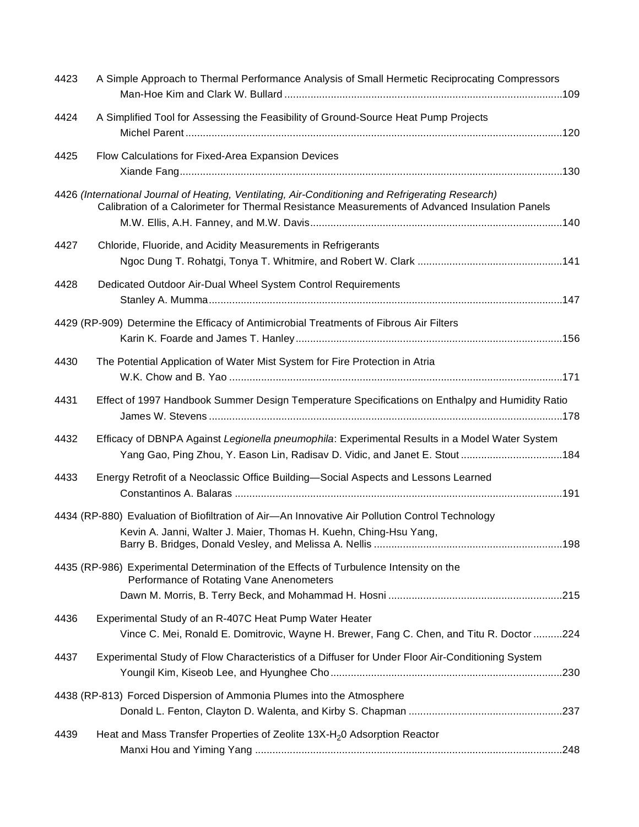| 4423 | A Simple Approach to Thermal Performance Analysis of Small Hermetic Reciprocating Compressors                                                                                                       |  |
|------|-----------------------------------------------------------------------------------------------------------------------------------------------------------------------------------------------------|--|
| 4424 | A Simplified Tool for Assessing the Feasibility of Ground-Source Heat Pump Projects                                                                                                                 |  |
| 4425 | Flow Calculations for Fixed-Area Expansion Devices                                                                                                                                                  |  |
|      | 4426 (International Journal of Heating, Ventilating, Air-Conditioning and Refrigerating Research)<br>Calibration of a Calorimeter for Thermal Resistance Measurements of Advanced Insulation Panels |  |
| 4427 | Chloride, Fluoride, and Acidity Measurements in Refrigerants                                                                                                                                        |  |
| 4428 | Dedicated Outdoor Air-Dual Wheel System Control Requirements                                                                                                                                        |  |
|      | 4429 (RP-909) Determine the Efficacy of Antimicrobial Treatments of Fibrous Air Filters                                                                                                             |  |
| 4430 | The Potential Application of Water Mist System for Fire Protection in Atria                                                                                                                         |  |
| 4431 | Effect of 1997 Handbook Summer Design Temperature Specifications on Enthalpy and Humidity Ratio                                                                                                     |  |
| 4432 | Efficacy of DBNPA Against Legionella pneumophila: Experimental Results in a Model Water System<br>Yang Gao, Ping Zhou, Y. Eason Lin, Radisav D. Vidic, and Janet E. Stout 184                       |  |
| 4433 | Energy Retrofit of a Neoclassic Office Building-Social Aspects and Lessons Learned                                                                                                                  |  |
|      | 4434 (RP-880) Evaluation of Biofiltration of Air-An Innovative Air Pollution Control Technology<br>Kevin A. Janni, Walter J. Maier, Thomas H. Kuehn, Ching-Hsu Yang,                                |  |
|      | 4435 (RP-986) Experimental Determination of the Effects of Turbulence Intensity on the<br>Performance of Rotating Vane Anenometers                                                                  |  |
| 4436 | Experimental Study of an R-407C Heat Pump Water Heater<br>Vince C. Mei, Ronald E. Domitrovic, Wayne H. Brewer, Fang C. Chen, and Titu R. Doctor 224                                                 |  |
| 4437 | Experimental Study of Flow Characteristics of a Diffuser for Under Floor Air-Conditioning System                                                                                                    |  |
|      | 4438 (RP-813) Forced Dispersion of Ammonia Plumes into the Atmosphere                                                                                                                               |  |
| 4439 | Heat and Mass Transfer Properties of Zeolite 13X-H <sub>2</sub> 0 Adsorption Reactor                                                                                                                |  |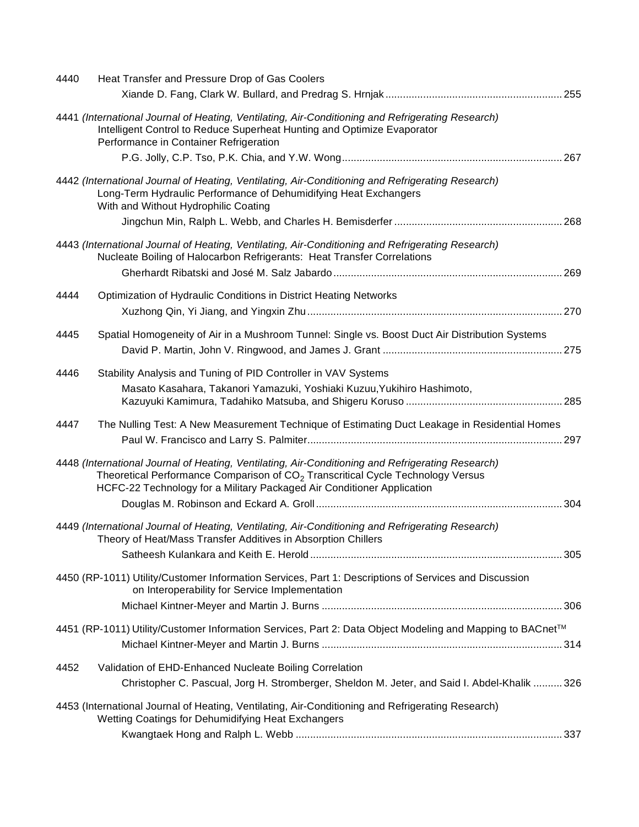| 4440 | Heat Transfer and Pressure Drop of Gas Coolers                                                                                                                                                                                                                             |  |
|------|----------------------------------------------------------------------------------------------------------------------------------------------------------------------------------------------------------------------------------------------------------------------------|--|
|      |                                                                                                                                                                                                                                                                            |  |
|      | 4441 (International Journal of Heating, Ventilating, Air-Conditioning and Refrigerating Research)<br>Intelligent Control to Reduce Superheat Hunting and Optimize Evaporator<br>Performance in Container Refrigeration                                                     |  |
|      |                                                                                                                                                                                                                                                                            |  |
|      | 4442 (International Journal of Heating, Ventilating, Air-Conditioning and Refrigerating Research)<br>Long-Term Hydraulic Performance of Dehumidifying Heat Exchangers<br>With and Without Hydrophilic Coating                                                              |  |
|      |                                                                                                                                                                                                                                                                            |  |
|      | 4443 (International Journal of Heating, Ventilating, Air-Conditioning and Refrigerating Research)<br>Nucleate Boiling of Halocarbon Refrigerants: Heat Transfer Correlations                                                                                               |  |
|      |                                                                                                                                                                                                                                                                            |  |
| 4444 | Optimization of Hydraulic Conditions in District Heating Networks                                                                                                                                                                                                          |  |
|      |                                                                                                                                                                                                                                                                            |  |
| 4445 | Spatial Homogeneity of Air in a Mushroom Tunnel: Single vs. Boost Duct Air Distribution Systems                                                                                                                                                                            |  |
|      |                                                                                                                                                                                                                                                                            |  |
| 4446 | Stability Analysis and Tuning of PID Controller in VAV Systems                                                                                                                                                                                                             |  |
|      | Masato Kasahara, Takanori Yamazuki, Yoshiaki Kuzuu, Yukihiro Hashimoto,                                                                                                                                                                                                    |  |
| 4447 | The Nulling Test: A New Measurement Technique of Estimating Duct Leakage in Residential Homes                                                                                                                                                                              |  |
|      | 4448 (International Journal of Heating, Ventilating, Air-Conditioning and Refrigerating Research)<br>Theoretical Performance Comparison of CO <sub>2</sub> Transcritical Cycle Technology Versus<br>HCFC-22 Technology for a Military Packaged Air Conditioner Application |  |
|      |                                                                                                                                                                                                                                                                            |  |
|      | 4449 (International Journal of Heating, Ventilating, Air-Conditioning and Refrigerating Research)<br>Theory of Heat/Mass Transfer Additives in Absorption Chillers                                                                                                         |  |
|      |                                                                                                                                                                                                                                                                            |  |
|      | 4450 (RP-1011) Utility/Customer Information Services, Part 1: Descriptions of Services and Discussion<br>on Interoperability for Service Implementation                                                                                                                    |  |
|      |                                                                                                                                                                                                                                                                            |  |
|      | 4451 (RP-1011) Utility/Customer Information Services, Part 2: Data Object Modeling and Mapping to BACnet™                                                                                                                                                                  |  |
|      |                                                                                                                                                                                                                                                                            |  |
| 4452 | Validation of EHD-Enhanced Nucleate Boiling Correlation                                                                                                                                                                                                                    |  |
|      | Christopher C. Pascual, Jorg H. Stromberger, Sheldon M. Jeter, and Said I. Abdel-Khalik  326                                                                                                                                                                               |  |
|      | 4453 (International Journal of Heating, Ventilating, Air-Conditioning and Refrigerating Research)<br>Wetting Coatings for Dehumidifying Heat Exchangers                                                                                                                    |  |
|      |                                                                                                                                                                                                                                                                            |  |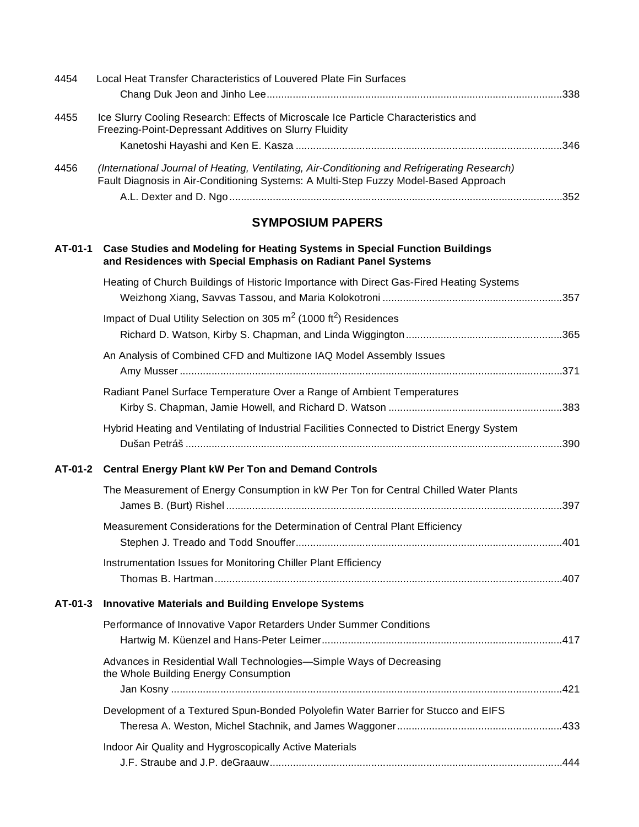| 4454    | Local Heat Transfer Characteristics of Louvered Plate Fin Surfaces                                                                                                                   |  |
|---------|--------------------------------------------------------------------------------------------------------------------------------------------------------------------------------------|--|
| 4455    | Ice Slurry Cooling Research: Effects of Microscale Ice Particle Characteristics and<br>Freezing-Point-Depressant Additives on Slurry Fluidity                                        |  |
| 4456    | (International Journal of Heating, Ventilating, Air-Conditioning and Refrigerating Research)<br>Fault Diagnosis in Air-Conditioning Systems: A Multi-Step Fuzzy Model-Based Approach |  |
|         | <b>SYMPOSIUM PAPERS</b>                                                                                                                                                              |  |
| AT-01-1 | <b>Case Studies and Modeling for Heating Systems in Special Function Buildings</b><br>and Residences with Special Emphasis on Radiant Panel Systems                                  |  |
|         | Heating of Church Buildings of Historic Importance with Direct Gas-Fired Heating Systems                                                                                             |  |
|         | Impact of Dual Utility Selection on 305 $m2$ (1000 ft <sup>2</sup> ) Residences                                                                                                      |  |
|         | An Analysis of Combined CFD and Multizone IAQ Model Assembly Issues                                                                                                                  |  |
|         | Radiant Panel Surface Temperature Over a Range of Ambient Temperatures                                                                                                               |  |
|         | Hybrid Heating and Ventilating of Industrial Facilities Connected to District Energy System                                                                                          |  |
|         | AT-01-2 Central Energy Plant kW Per Ton and Demand Controls                                                                                                                          |  |
|         | The Measurement of Energy Consumption in kW Per Ton for Central Chilled Water Plants                                                                                                 |  |
|         | Measurement Considerations for the Determination of Central Plant Efficiency                                                                                                         |  |
|         | Instrumentation Issues for Monitoring Chiller Plant Efficiency                                                                                                                       |  |
| AT-01-3 | <b>Innovative Materials and Building Envelope Systems</b>                                                                                                                            |  |
|         | Performance of Innovative Vapor Retarders Under Summer Conditions                                                                                                                    |  |
|         | Advances in Residential Wall Technologies-Simple Ways of Decreasing<br>the Whole Building Energy Consumption                                                                         |  |
|         | Development of a Textured Spun-Bonded Polyolefin Water Barrier for Stucco and EIFS                                                                                                   |  |
|         | Indoor Air Quality and Hygroscopically Active Materials                                                                                                                              |  |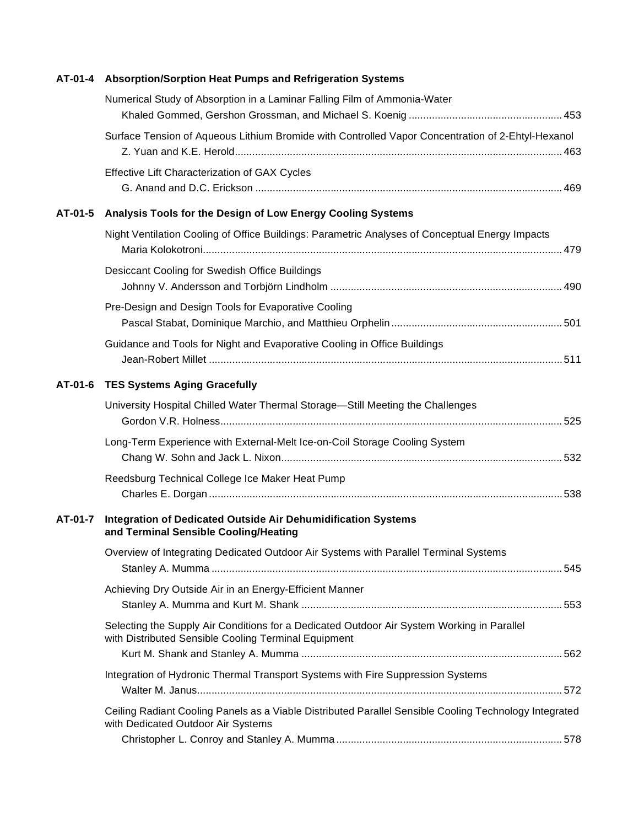| AT-01-4 | Absorption/Sorption Heat Pumps and Refrigeration Systems                                                                                           |  |
|---------|----------------------------------------------------------------------------------------------------------------------------------------------------|--|
|         | Numerical Study of Absorption in a Laminar Falling Film of Ammonia-Water                                                                           |  |
|         | Surface Tension of Aqueous Lithium Bromide with Controlled Vapor Concentration of 2-Ehtyl-Hexanol                                                  |  |
|         | Effective Lift Characterization of GAX Cycles                                                                                                      |  |
| AT-01-5 | Analysis Tools for the Design of Low Energy Cooling Systems                                                                                        |  |
|         | Night Ventilation Cooling of Office Buildings: Parametric Analyses of Conceptual Energy Impacts                                                    |  |
|         | Desiccant Cooling for Swedish Office Buildings                                                                                                     |  |
|         | Pre-Design and Design Tools for Evaporative Cooling                                                                                                |  |
|         | Guidance and Tools for Night and Evaporative Cooling in Office Buildings                                                                           |  |
| AT-01-6 | <b>TES Systems Aging Gracefully</b>                                                                                                                |  |
|         | University Hospital Chilled Water Thermal Storage—Still Meeting the Challenges                                                                     |  |
|         | Long-Term Experience with External-Melt Ice-on-Coil Storage Cooling System                                                                         |  |
|         | Reedsburg Technical College Ice Maker Heat Pump                                                                                                    |  |
| AT-01-7 | Integration of Dedicated Outside Air Dehumidification Systems<br>and Terminal Sensible Cooling/Heating                                             |  |
|         | Overview of Integrating Dedicated Outdoor Air Systems with Parallel Terminal Systems                                                               |  |
|         | Achieving Dry Outside Air in an Energy-Efficient Manner                                                                                            |  |
|         | Selecting the Supply Air Conditions for a Dedicated Outdoor Air System Working in Parallel<br>with Distributed Sensible Cooling Terminal Equipment |  |
|         | Integration of Hydronic Thermal Transport Systems with Fire Suppression Systems                                                                    |  |
|         | Ceiling Radiant Cooling Panels as a Viable Distributed Parallel Sensible Cooling Technology Integrated<br>with Dedicated Outdoor Air Systems       |  |
|         |                                                                                                                                                    |  |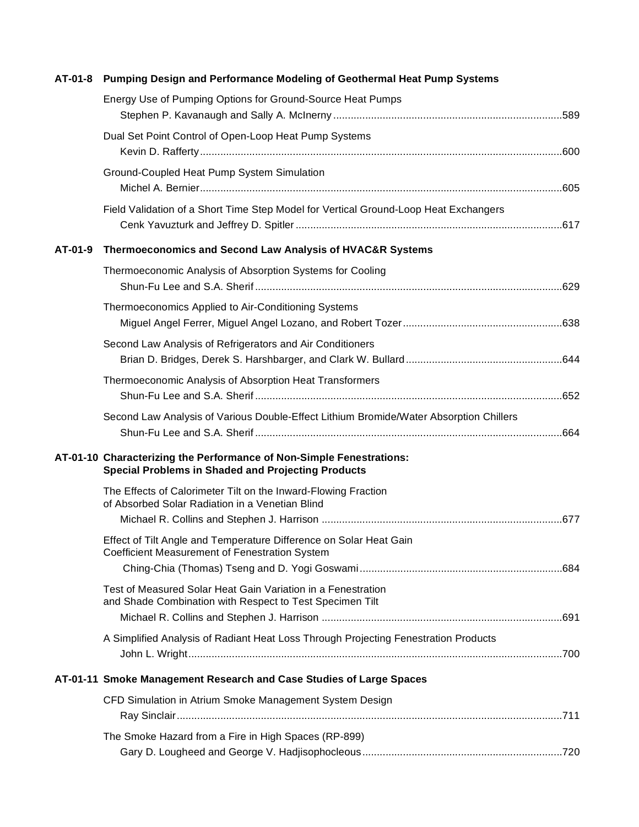| AT-01-8 | Pumping Design and Performance Modeling of Geothermal Heat Pump Systems                                                           |  |
|---------|-----------------------------------------------------------------------------------------------------------------------------------|--|
|         | Energy Use of Pumping Options for Ground-Source Heat Pumps                                                                        |  |
|         | Dual Set Point Control of Open-Loop Heat Pump Systems                                                                             |  |
|         | Ground-Coupled Heat Pump System Simulation                                                                                        |  |
|         | Field Validation of a Short Time Step Model for Vertical Ground-Loop Heat Exchangers                                              |  |
| AT-01-9 | Thermoeconomics and Second Law Analysis of HVAC&R Systems                                                                         |  |
|         | Thermoeconomic Analysis of Absorption Systems for Cooling                                                                         |  |
|         | Thermoeconomics Applied to Air-Conditioning Systems                                                                               |  |
|         | Second Law Analysis of Refrigerators and Air Conditioners                                                                         |  |
|         | Thermoeconomic Analysis of Absorption Heat Transformers                                                                           |  |
|         | Second Law Analysis of Various Double-Effect Lithium Bromide/Water Absorption Chillers                                            |  |
|         | AT-01-10 Characterizing the Performance of Non-Simple Fenestrations:<br><b>Special Problems in Shaded and Projecting Products</b> |  |
|         | The Effects of Calorimeter Tilt on the Inward-Flowing Fraction<br>of Absorbed Solar Radiation in a Venetian Blind                 |  |
|         |                                                                                                                                   |  |
|         | Effect of Tilt Angle and Temperature Difference on Solar Heat Gain<br>Coefficient Measurement of Fenestration System              |  |
|         | Test of Measured Solar Heat Gain Variation in a Fenestration<br>and Shade Combination with Respect to Test Specimen Tilt          |  |
|         | A Simplified Analysis of Radiant Heat Loss Through Projecting Fenestration Products                                               |  |
|         | AT-01-11 Smoke Management Research and Case Studies of Large Spaces                                                               |  |
|         | CFD Simulation in Atrium Smoke Management System Design                                                                           |  |
|         | The Smoke Hazard from a Fire in High Spaces (RP-899)                                                                              |  |
|         |                                                                                                                                   |  |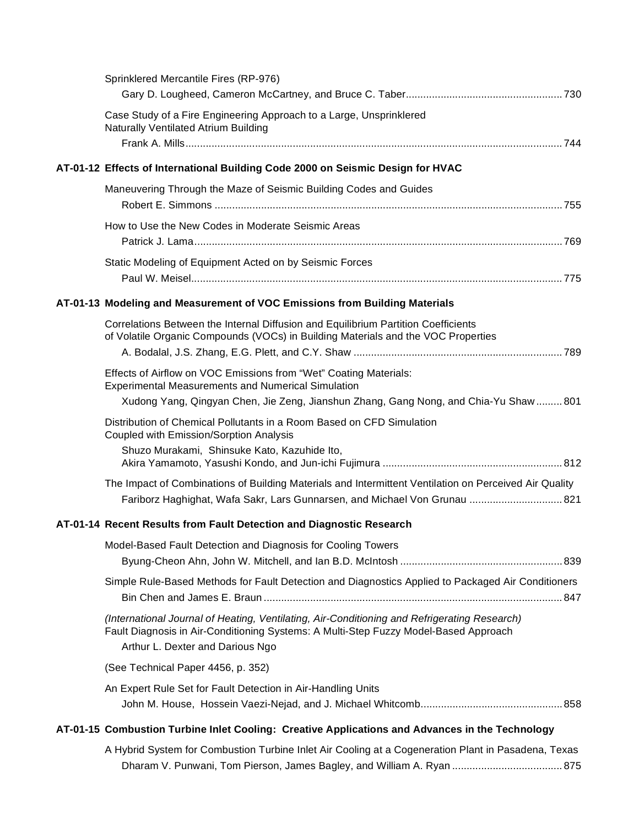| Sprinklered Mercantile Fires (RP-976)                                                                                                                                                                                    |  |
|--------------------------------------------------------------------------------------------------------------------------------------------------------------------------------------------------------------------------|--|
| Case Study of a Fire Engineering Approach to a Large, Unsprinklered<br><b>Naturally Ventilated Atrium Building</b>                                                                                                       |  |
| AT-01-12 Effects of International Building Code 2000 on Seismic Design for HVAC                                                                                                                                          |  |
|                                                                                                                                                                                                                          |  |
| Maneuvering Through the Maze of Seismic Building Codes and Guides                                                                                                                                                        |  |
| How to Use the New Codes in Moderate Seismic Areas                                                                                                                                                                       |  |
| Static Modeling of Equipment Acted on by Seismic Forces                                                                                                                                                                  |  |
| AT-01-13 Modeling and Measurement of VOC Emissions from Building Materials                                                                                                                                               |  |
| Correlations Between the Internal Diffusion and Equilibrium Partition Coefficients<br>of Volatile Organic Compounds (VOCs) in Building Materials and the VOC Properties                                                  |  |
| Effects of Airflow on VOC Emissions from "Wet" Coating Materials:<br><b>Experimental Measurements and Numerical Simulation</b><br>Xudong Yang, Qingyan Chen, Jie Zeng, Jianshun Zhang, Gang Nong, and Chia-Yu Shaw  801  |  |
| Distribution of Chemical Pollutants in a Room Based on CFD Simulation<br>Coupled with Emission/Sorption Analysis                                                                                                         |  |
| Shuzo Murakami, Shinsuke Kato, Kazuhide Ito,                                                                                                                                                                             |  |
| The Impact of Combinations of Building Materials and Intermittent Ventilation on Perceived Air Quality<br>Fariborz Haghighat, Wafa Sakr, Lars Gunnarsen, and Michael Von Grunau  821                                     |  |
| AT-01-14 Recent Results from Fault Detection and Diagnostic Research                                                                                                                                                     |  |
| Model-Based Fault Detection and Diagnosis for Cooling Towers                                                                                                                                                             |  |
| Simple Rule-Based Methods for Fault Detection and Diagnostics Applied to Packaged Air Conditioners                                                                                                                       |  |
| (International Journal of Heating, Ventilating, Air-Conditioning and Refrigerating Research)<br>Fault Diagnosis in Air-Conditioning Systems: A Multi-Step Fuzzy Model-Based Approach<br>Arthur L. Dexter and Darious Ngo |  |
| (See Technical Paper 4456, p. 352)                                                                                                                                                                                       |  |
| An Expert Rule Set for Fault Detection in Air-Handling Units                                                                                                                                                             |  |
| AT-01-15 Combustion Turbine Inlet Cooling: Creative Applications and Advances in the Technology                                                                                                                          |  |
| A Hybrid System for Combustion Turbine Inlet Air Cooling at a Cogeneration Plant in Pasadena, Texas<br>Dharam V. Punwani, Tom Pierson, James Bagley, and William A. Ryan  875                                            |  |